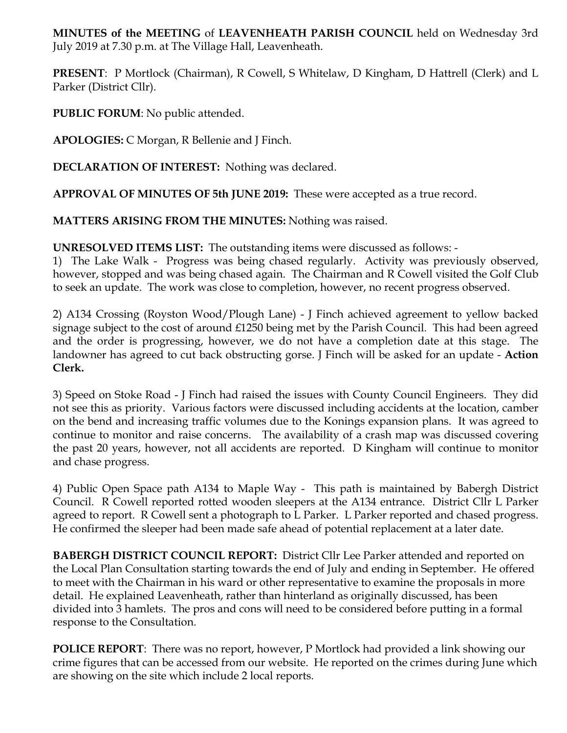**MINUTES of the MEETING** of **LEAVENHEATH PARISH COUNCIL** held on Wednesday 3rd July 2019 at 7.30 p.m. at The Village Hall, Leavenheath.

**PRESENT**: P Mortlock (Chairman), R Cowell, S Whitelaw, D Kingham, D Hattrell (Clerk) and L Parker (District Cllr).

**PUBLIC FORUM**: No public attended.

**APOLOGIES:** C Morgan, R Bellenie and J Finch.

**DECLARATION OF INTEREST:** Nothing was declared.

**APPROVAL OF MINUTES OF 5th JUNE 2019:** These were accepted as a true record.

**MATTERS ARISING FROM THE MINUTES:** Nothing was raised.

**UNRESOLVED ITEMS LIST:** The outstanding items were discussed as follows: -

1) The Lake Walk - Progress was being chased regularly. Activity was previously observed, however, stopped and was being chased again. The Chairman and R Cowell visited the Golf Club to seek an update. The work was close to completion, however, no recent progress observed.

2) A134 Crossing (Royston Wood/Plough Lane) - J Finch achieved agreement to yellow backed signage subject to the cost of around £1250 being met by the Parish Council. This had been agreed and the order is progressing, however, we do not have a completion date at this stage. The landowner has agreed to cut back obstructing gorse. J Finch will be asked for an update - **Action Clerk.** 

3) Speed on Stoke Road - J Finch had raised the issues with County Council Engineers. They did not see this as priority. Various factors were discussed including accidents at the location, camber on the bend and increasing traffic volumes due to the Konings expansion plans. It was agreed to continue to monitor and raise concerns. The availability of a crash map was discussed covering the past 20 years, however, not all accidents are reported. D Kingham will continue to monitor and chase progress.

4) Public Open Space path A134 to Maple Way - This path is maintained by Babergh District Council. R Cowell reported rotted wooden sleepers at the A134 entrance. District Cllr L Parker agreed to report. R Cowell sent a photograph to L Parker. L Parker reported and chased progress. He confirmed the sleeper had been made safe ahead of potential replacement at a later date.

**BABERGH DISTRICT COUNCIL REPORT:** District Cllr Lee Parker attended and reported on the Local Plan Consultation starting towards the end of July and ending in September. He offered to meet with the Chairman in his ward or other representative to examine the proposals in more detail. He explained Leavenheath, rather than hinterland as originally discussed, has been divided into 3 hamlets. The pros and cons will need to be considered before putting in a formal response to the Consultation.

**POLICE REPORT**: There was no report, however, P Mortlock had provided a link showing our crime figures that can be accessed from our website. He reported on the crimes during June which are showing on the site which include 2 local reports.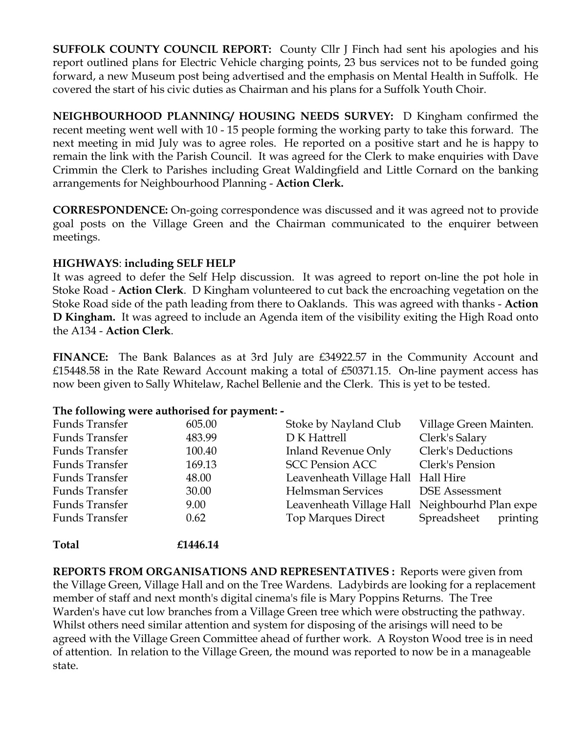**SUFFOLK COUNTY COUNCIL REPORT:** County Cllr J Finch had sent his apologies and his report outlined plans for Electric Vehicle charging points, 23 bus services not to be funded going forward, a new Museum post being advertised and the emphasis on Mental Health in Suffolk. He covered the start of his civic duties as Chairman and his plans for a Suffolk Youth Choir.

**NEIGHBOURHOOD PLANNING/ HOUSING NEEDS SURVEY:** D Kingham confirmed the recent meeting went well with 10 - 15 people forming the working party to take this forward. The next meeting in mid July was to agree roles. He reported on a positive start and he is happy to remain the link with the Parish Council. It was agreed for the Clerk to make enquiries with Dave Crimmin the Clerk to Parishes including Great Waldingfield and Little Cornard on the banking arrangements for Neighbourhood Planning - **Action Clerk.**

**CORRESPONDENCE:** On-going correspondence was discussed and it was agreed not to provide goal posts on the Village Green and the Chairman communicated to the enquirer between meetings.

## **HIGHWAYS**: **including SELF HELP**

It was agreed to defer the Self Help discussion. It was agreed to report on-line the pot hole in Stoke Road - **Action Clerk**. D Kingham volunteered to cut back the encroaching vegetation on the Stoke Road side of the path leading from there to Oaklands. This was agreed with thanks - **Action D Kingham.** It was agreed to include an Agenda item of the visibility exiting the High Road onto the A134 - **Action Clerk**.

**FINANCE:** The Bank Balances as at 3rd July are £34922.57 in the Community Account and £15448.58 in the Rate Reward Account making a total of £50371.15. On-line payment access has now been given to Sally Whitelaw, Rachel Bellenie and the Clerk. This is yet to be tested.

## **The following were authorised for payment: -**

| <b>Funds Transfer</b> | 605.00 | Stoke by Nayland Club                          | Village Green Mainten.  |
|-----------------------|--------|------------------------------------------------|-------------------------|
| Funds Transfer        | 483.99 | D K Hattrell                                   | Clerk's Salary          |
| <b>Funds Transfer</b> | 100.40 | <b>Inland Revenue Only</b>                     | Clerk's Deductions      |
| Funds Transfer        | 169.13 | <b>SCC Pension ACC</b>                         | Clerk's Pension         |
| <b>Funds Transfer</b> | 48.00  | Leavenheath Village Hall Hall Hire             |                         |
| Funds Transfer        | 30.00  | <b>Helmsman Services</b>                       | <b>DSE</b> Assessment   |
| Funds Transfer        | 9.00   | Leavenheath Village Hall Neighbourhd Plan expe |                         |
| <b>Funds Transfer</b> | 0.62   | <b>Top Marques Direct</b>                      | Spreadsheet<br>printing |
|                       |        |                                                |                         |

**Total £1446.14**

**REPORTS FROM ORGANISATIONS AND REPRESENTATIVES :** Reports were given from the Village Green, Village Hall and on the Tree Wardens. Ladybirds are looking for a replacement member of staff and next month's digital cinema's file is Mary Poppins Returns. The Tree Warden's have cut low branches from a Village Green tree which were obstructing the pathway. Whilst others need similar attention and system for disposing of the arisings will need to be agreed with the Village Green Committee ahead of further work. A Royston Wood tree is in need of attention. In relation to the Village Green, the mound was reported to now be in a manageable state.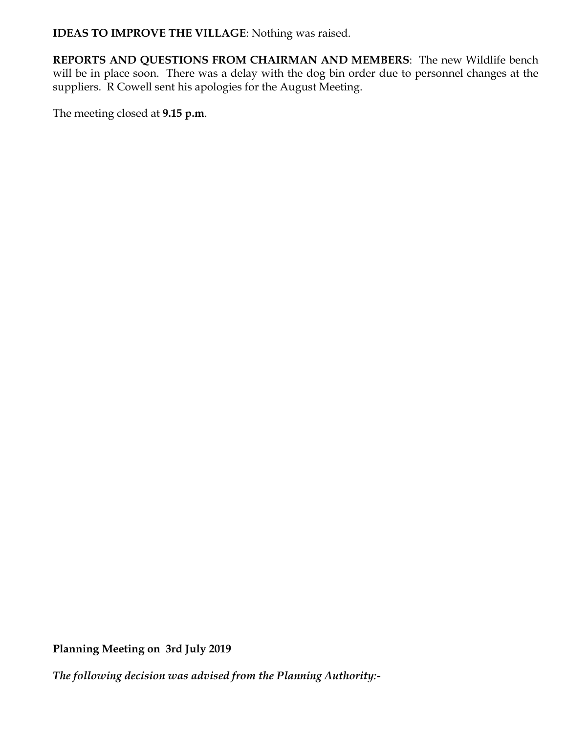**IDEAS TO IMPROVE THE VILLAGE**: Nothing was raised.

**REPORTS AND QUESTIONS FROM CHAIRMAN AND MEMBERS**: The new Wildlife bench will be in place soon. There was a delay with the dog bin order due to personnel changes at the suppliers. R Cowell sent his apologies for the August Meeting.

The meeting closed at **9.15 p.m**.

**Planning Meeting on 3rd July 2019**

*The following decision was advised from the Planning Authority:-*